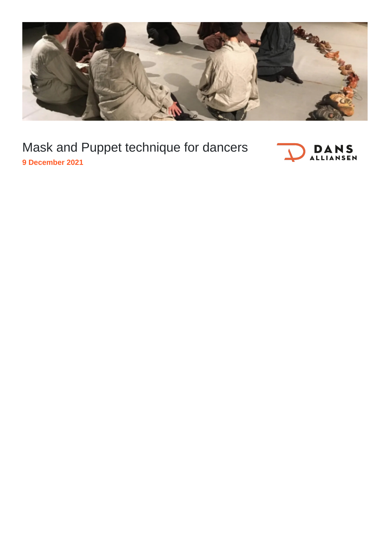

## Mask and Puppet technique for dancers



**9 December 2021**